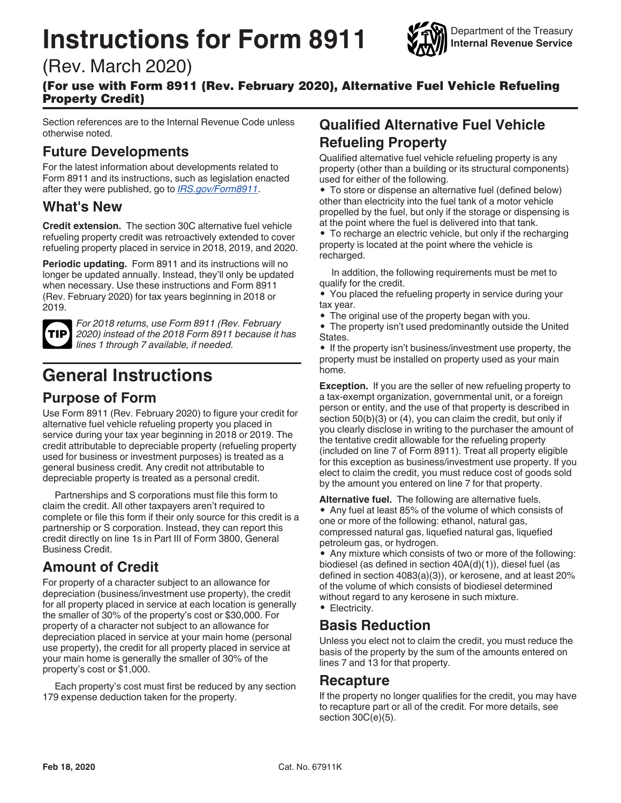# **Instructions for Form 8911**



# (Rev. March 2020)

(For use with Form 8911 (Rev. February 2020), Alternative Fuel Vehicle Refueling Property Credit)

Section references are to the Internal Revenue Code unless otherwise noted.

### **Future Developments**

For the latest information about developments related to Form 8911 and its instructions, such as legislation enacted after they were published, go to *IRS.gov/Form8911*.

### **What's New**

**Credit extension.** The section 30C alternative fuel vehicle refueling property credit was retroactively extended to cover refueling property placed in service in 2018, 2019, and 2020.

**Periodic updating.** Form 8911 and its instructions will no longer be updated annually. Instead, they'll only be updated when necessary. Use these instructions and Form 8911 (Rev. February 2020) for tax years beginning in 2018 or 2019.



*For 2018 returns, use Form 8911 (Rev. February 2020) instead of the 2018 Form 8911 because it has lines 1 through 7 available, if needed.*

# **General Instructions**

### **Purpose of Form**

Use Form 8911 (Rev. February 2020) to figure your credit for alternative fuel vehicle refueling property you placed in service during your tax year beginning in 2018 or 2019. The credit attributable to depreciable property (refueling property used for business or investment purposes) is treated as a general business credit. Any credit not attributable to depreciable property is treated as a personal credit.

Partnerships and S corporations must file this form to claim the credit. All other taxpayers aren't required to complete or file this form if their only source for this credit is a partnership or S corporation. Instead, they can report this credit directly on line 1s in Part III of Form 3800, General Business Credit.

### **Amount of Credit**

For property of a character subject to an allowance for depreciation (business/investment use property), the credit for all property placed in service at each location is generally the smaller of 30% of the property's cost or \$30,000. For property of a character not subject to an allowance for depreciation placed in service at your main home (personal use property), the credit for all property placed in service at your main home is generally the smaller of 30% of the property's cost or \$1,000.

Each property's cost must first be reduced by any section 179 expense deduction taken for the property.

# **Qualified Alternative Fuel Vehicle Refueling Property**

Qualified alternative fuel vehicle refueling property is any property (other than a building or its structural components) used for either of the following.

• To store or dispense an alternative fuel (defined below) other than electricity into the fuel tank of a motor vehicle propelled by the fuel, but only if the storage or dispensing is at the point where the fuel is delivered into that tank.

• To recharge an electric vehicle, but only if the recharging property is located at the point where the vehicle is recharged.

In addition, the following requirements must be met to qualify for the credit.

• You placed the refueling property in service during your tax year.

• The original use of the property began with you.

• The property isn't used predominantly outside the United States.

• If the property isn't business/investment use property, the property must be installed on property used as your main home.

**Exception.** If you are the seller of new refueling property to a tax-exempt organization, governmental unit, or a foreign person or entity, and the use of that property is described in section 50(b)(3) or (4), you can claim the credit, but only if you clearly disclose in writing to the purchaser the amount of the tentative credit allowable for the refueling property (included on line 7 of Form 8911). Treat all property eligible for this exception as business/investment use property. If you elect to claim the credit, you must reduce cost of goods sold by the amount you entered on line 7 for that property.

**Alternative fuel.** The following are alternative fuels. • Any fuel at least 85% of the volume of which consists of one or more of the following: ethanol, natural gas, compressed natural gas, liquefied natural gas, liquefied petroleum gas, or hydrogen.

• Any mixture which consists of two or more of the following: biodiesel (as defined in section 40A(d)(1)), diesel fuel (as defined in section 4083(a)(3)), or kerosene, and at least 20% of the volume of which consists of biodiesel determined without regard to any kerosene in such mixture.

• Electricity.

### **Basis Reduction**

Unless you elect not to claim the credit, you must reduce the basis of the property by the sum of the amounts entered on lines 7 and 13 for that property.

#### **Recapture**

If the property no longer qualifies for the credit, you may have to recapture part or all of the credit. For more details, see section 30C(e)(5).